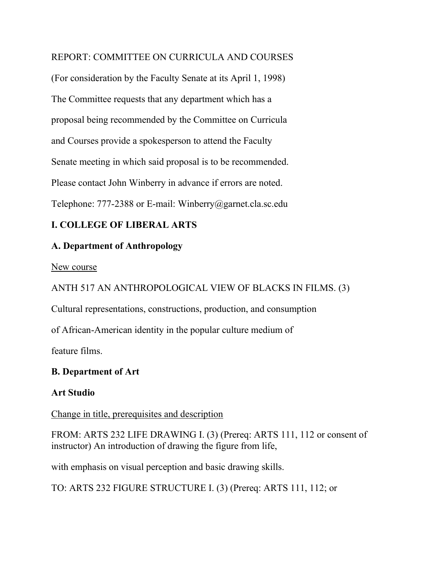#### REPORT: COMMITTEE ON CURRICULA AND COURSES

(For consideration by the Faculty Senate at its April 1, 1998) The Committee requests that any department which has a proposal being recommended by the Committee on Curricula and Courses provide a spokesperson to attend the Faculty Senate meeting in which said proposal is to be recommended. Please contact John Winberry in advance if errors are noted. Telephone: 777-2388 or E-mail: Winberry@garnet.cla.sc.edu

### **I. COLLEGE OF LIBERAL ARTS**

#### **A. Department of Anthropology**

#### New course

ANTH 517 AN ANTHROPOLOGICAL VIEW OF BLACKS IN FILMS. (3)

Cultural representations, constructions, production, and consumption

of African-American identity in the popular culture medium of

feature films.

### **B. Department of Art**

### **Art Studio**

Change in title, prerequisites and description

FROM: ARTS 232 LIFE DRAWING I. (3) (Prereq: ARTS 111, 112 or consent of instructor) An introduction of drawing the figure from life,

with emphasis on visual perception and basic drawing skills.

TO: ARTS 232 FIGURE STRUCTURE I. (3) (Prereq: ARTS 111, 112; or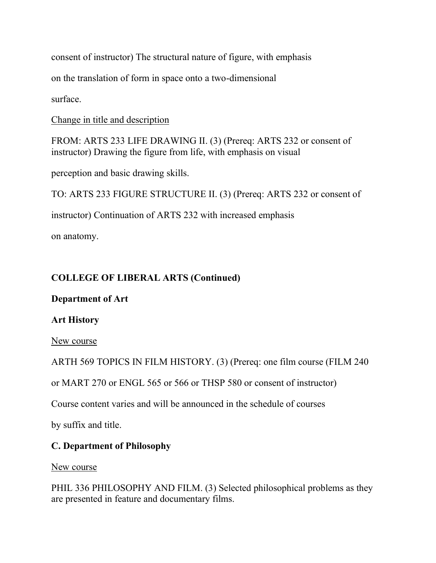consent of instructor) The structural nature of figure, with emphasis

on the translation of form in space onto a two-dimensional

surface.

Change in title and description

FROM: ARTS 233 LIFE DRAWING II. (3) (Prereq: ARTS 232 or consent of instructor) Drawing the figure from life, with emphasis on visual

perception and basic drawing skills.

TO: ARTS 233 FIGURE STRUCTURE II. (3) (Prereq: ARTS 232 or consent of

instructor) Continuation of ARTS 232 with increased emphasis

on anatomy.

## **COLLEGE OF LIBERAL ARTS (Continued)**

### **Department of Art**

### **Art History**

New course

ARTH 569 TOPICS IN FILM HISTORY. (3) (Prereq: one film course (FILM 240

or MART 270 or ENGL 565 or 566 or THSP 580 or consent of instructor)

Course content varies and will be announced in the schedule of courses

by suffix and title.

## **C. Department of Philosophy**

New course

PHIL 336 PHILOSOPHY AND FILM. (3) Selected philosophical problems as they are presented in feature and documentary films.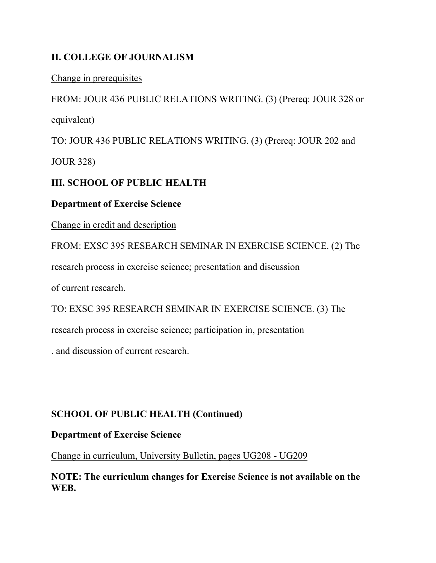## **II. COLLEGE OF JOURNALISM**

Change in prerequisites

FROM: JOUR 436 PUBLIC RELATIONS WRITING. (3) (Prereq: JOUR 328 or equivalent)

TO: JOUR 436 PUBLIC RELATIONS WRITING. (3) (Prereq: JOUR 202 and

JOUR 328)

## **III. SCHOOL OF PUBLIC HEALTH**

#### **Department of Exercise Science**

Change in credit and description

FROM: EXSC 395 RESEARCH SEMINAR IN EXERCISE SCIENCE. (2) The research process in exercise science; presentation and discussion of current research.

TO: EXSC 395 RESEARCH SEMINAR IN EXERCISE SCIENCE. (3) The research process in exercise science; participation in, presentation

. and discussion of current research.

## **SCHOOL OF PUBLIC HEALTH (Continued)**

### **Department of Exercise Science**

Change in curriculum, University Bulletin, pages UG208 - UG209

**NOTE: The curriculum changes for Exercise Science is not available on the WEB.**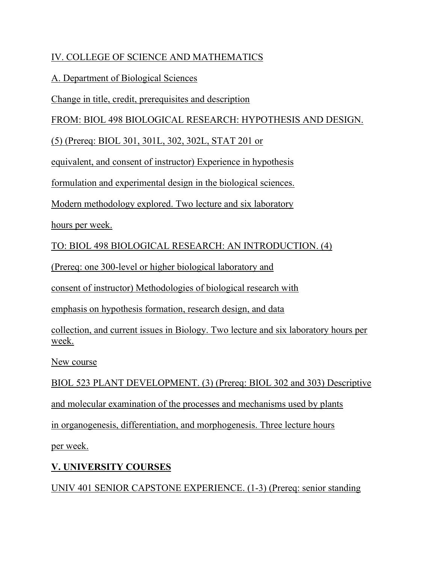## IV. COLLEGE OF SCIENCE AND MATHEMATICS

### A. Department of Biological Sciences

Change in title, credit, prerequisites and description

FROM: BIOL 498 BIOLOGICAL RESEARCH: HYPOTHESIS AND DESIGN.

(5) (Prereq: BIOL 301, 301L, 302, 302L, STAT 201 or

equivalent, and consent of instructor) Experience in hypothesis

formulation and experimental design in the biological sciences.

Modern methodology explored. Two lecture and six laboratory

hours per week.

TO: BIOL 498 BIOLOGICAL RESEARCH: AN INTRODUCTION. (4)

(Prereq: one 300-level or higher biological laboratory and

consent of instructor) Methodologies of biological research with

emphasis on hypothesis formation, research design, and data

collection, and current issues in Biology. Two lecture and six laboratory hours per week.

New course

BIOL 523 PLANT DEVELOPMENT. (3) (Prereq: BIOL 302 and 303) Descriptive and molecular examination of the processes and mechanisms used by plants in organogenesis, differentiation, and morphogenesis. Three lecture hours

per week.

# **V. UNIVERSITY COURSES**

UNIV 401 SENIOR CAPSTONE EXPERIENCE. (1-3) (Prereq: senior standing